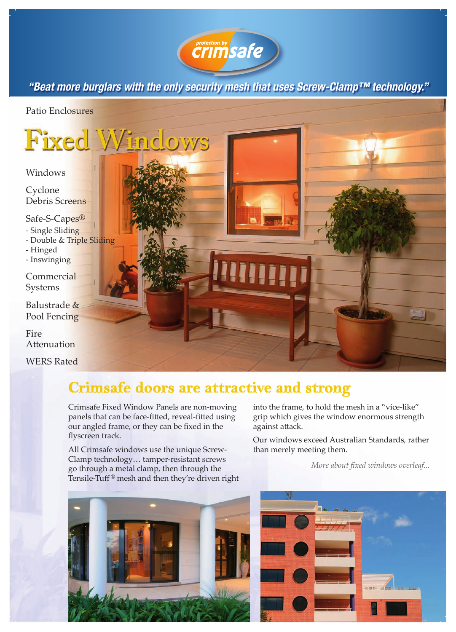

*"Beat more burglars with the only security mesh that uses Screw-Clamp™ technology."*

Patio Enclosures

**Fixed Windows** 

Windows

**Cyclone** Debris Screens

Safe-S-Capes® - Single Sliding

- Double & Triple Sliding

- Hinged
- Inswinging

**Commercial** Systems

Balustrade & Pool Fencing

Fire Attenuation

WERS Rated

## **Crimsafe doors are attractive and strong**

Crimsafe Fixed Window Panels are non-moving panels that can be face-fitted, reveal-fitted using our angled frame, or they can be fixed in the flyscreen track.

All Crimsafe windows use the unique Screw-Clamp technology… tamper-resistant screws go through a metal clamp, then through the Tensile-Tuff ® mesh and then they're driven right



into the frame, to hold the mesh in a "vice-like" grip which gives the window enormous strength against attack.

Our windows exceed Australian Standards, rather than merely meeting them.

*More about fixed windows overleaf...*